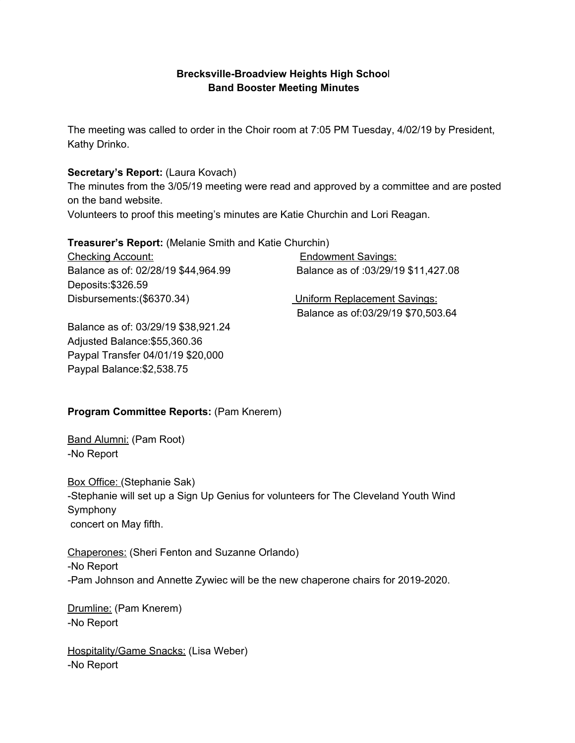## **Brecksville-Broadview Heights High Schoo**l **Band Booster Meeting Minutes**

The meeting was called to order in the Choir room at 7:05 PM Tuesday, 4/02/19 by President, Kathy Drinko.

#### **Secretary's Report:** (Laura Kovach)

The minutes from the 3/05/19 meeting were read and approved by a committee and are posted on the band website.

Volunteers to proof this meeting's minutes are Katie Churchin and Lori Reagan.

#### **Treasurer's Report:** (Melanie Smith and Katie Churchin)

Checking Account: Endowment Savings: Balance as of: 02/28/19 \$44,964.99 Balance as of :03/29/19 \$11,427.08 Deposits:\$326.59 Disbursements:(\$6370.34) Uniform Replacement Savings: Balance as of:03/29/19 \$70,503.64

Balance as of: 03/29/19 \$38,921.24 Adjusted Balance:\$55,360.36 Paypal Transfer 04/01/19 \$20,000 Paypal Balance:\$2,538.75

## **Program Committee Reports:** (Pam Knerem)

Band Alumni: (Pam Root) -No Report

Box Office: (Stephanie Sak) -Stephanie will set up a Sign Up Genius for volunteers for The Cleveland Youth Wind Symphony concert on May fifth.

Chaperones: (Sheri Fenton and Suzanne Orlando) -No Report -Pam Johnson and Annette Zywiec will be the new chaperone chairs for 2019-2020.

Drumline: (Pam Knerem) -No Report

Hospitality/Game Snacks: (Lisa Weber) -No Report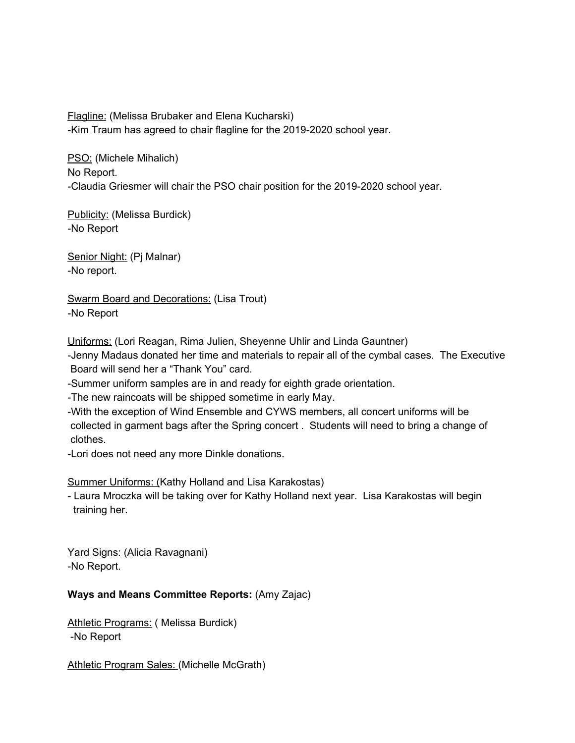Flagline: (Melissa Brubaker and Elena Kucharski) -Kim Traum has agreed to chair flagline for the 2019-2020 school year.

PSO: (Michele Mihalich) No Report. -Claudia Griesmer will chair the PSO chair position for the 2019-2020 school year.

Publicity: (Melissa Burdick) -No Report

Senior Night: (Pj Malnar) -No report.

Swarm Board and Decorations: (Lisa Trout) -No Report

Uniforms: (Lori Reagan, Rima Julien, Sheyenne Uhlir and Linda Gauntner)

-Jenny Madaus donated her time and materials to repair all of the cymbal cases. The Executive Board will send her a "Thank You" card.

-Summer uniform samples are in and ready for eighth grade orientation.

-The new raincoats will be shipped sometime in early May.

-With the exception of Wind Ensemble and CYWS members, all concert uniforms will be collected in garment bags after the Spring concert . Students will need to bring a change of clothes.

-Lori does not need any more Dinkle donations.

Summer Uniforms: (Kathy Holland and Lisa Karakostas)

- Laura Mroczka will be taking over for Kathy Holland next year. Lisa Karakostas will begin training her.

Yard Signs: (Alicia Ravagnani) -No Report.

## **Ways and Means Committee Reports:** (Amy Zajac)

Athletic Programs: ( Melissa Burdick) -No Report

Athletic Program Sales: (Michelle McGrath)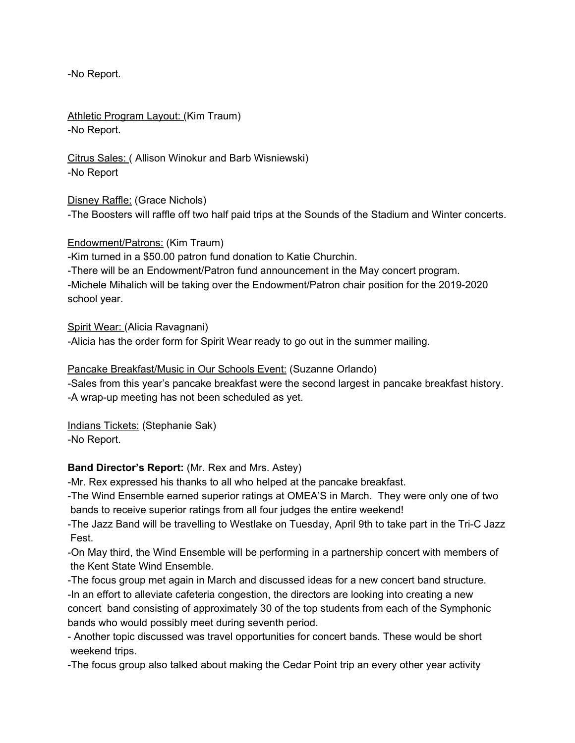-No Report.

Athletic Program Layout: (Kim Traum) -No Report.

Citrus Sales: ( Allison Winokur and Barb Wisniewski) -No Report

Disney Raffle: (Grace Nichols) -The Boosters will raffle off two half paid trips at the Sounds of the Stadium and Winter concerts.

Endowment/Patrons: (Kim Traum)

-Kim turned in a \$50.00 patron fund donation to Katie Churchin.

-There will be an Endowment/Patron fund announcement in the May concert program. -Michele Mihalich will be taking over the Endowment/Patron chair position for the 2019-2020 school year.

Spirit Wear: (Alicia Ravagnani) -Alicia has the order form for Spirit Wear ready to go out in the summer mailing.

## Pancake Breakfast/Music in Our Schools Event: (Suzanne Orlando)

-Sales from this year's pancake breakfast were the second largest in pancake breakfast history. -A wrap-up meeting has not been scheduled as yet.

Indians Tickets: (Stephanie Sak) -No Report.

## **Band Director's Report:** (Mr. Rex and Mrs. Astey)

-Mr. Rex expressed his thanks to all who helped at the pancake breakfast.

-The Wind Ensemble earned superior ratings at OMEA'S in March. They were only one of two bands to receive superior ratings from all four judges the entire weekend!

-The Jazz Band will be travelling to Westlake on Tuesday, April 9th to take part in the Tri-C Jazz Fest.

-On May third, the Wind Ensemble will be performing in a partnership concert with members of the Kent State Wind Ensemble.

-The focus group met again in March and discussed ideas for a new concert band structure. -In an effort to alleviate cafeteria congestion, the directors are looking into creating a new concert band consisting of approximately 30 of the top students from each of the Symphonic bands who would possibly meet during seventh period.

- Another topic discussed was travel opportunities for concert bands. These would be short weekend trips.

-The focus group also talked about making the Cedar Point trip an every other year activity